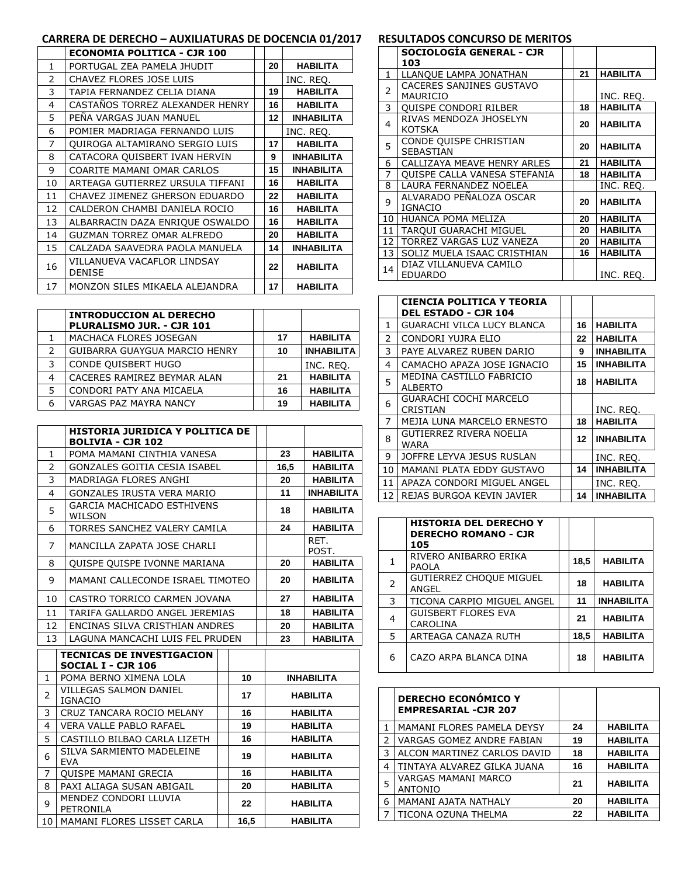# **CARRERA DE DERECHO – AUXILIATURAS DE DOCENCIA 01/2017**

|    | <b>ECONOMIA POLITICA - CJR 100</b>           |    |                   |
|----|----------------------------------------------|----|-------------------|
| 1  | PORTUGAL ZEA PAMELA JHUDIT                   | 20 | <b>HABILITA</b>   |
| 2  | CHAVEZ FLORES JOSE LUIS                      |    | INC. REQ.         |
| 3  | TAPIA FERNANDEZ CELIA DIANA                  | 19 | <b>HABILITA</b>   |
| 4  | CASTAÑOS TORREZ ALEXANDER HENRY              | 16 | <b>HABILITA</b>   |
| 5  | PENA VARGAS JUAN MANUEL                      | 12 | <b>INHABILITA</b> |
| 6  | POMIER MADRIAGA FERNANDO LUIS                |    | INC. REQ.         |
| 7  | QUIROGA ALTAMIRANO SERGIO LUIS               | 17 | <b>HABILITA</b>   |
| 8  | CATACORA QUISBERT IVAN HERVIN                | 9  | <b>INHABILITA</b> |
| 9  | COARITE MAMANI OMAR CARLOS                   | 15 | <b>INHABILITA</b> |
| 10 | ARTEAGA GUTIERREZ URSULA TIFFANI             | 16 | <b>HABILITA</b>   |
| 11 | CHAVEZ JIMENEZ GHERSON EDUARDO               | 22 | <b>HABILITA</b>   |
| 12 | CALDERON CHAMBI DANIELA ROCIO                | 16 | <b>HABILITA</b>   |
| 13 | ALBARRACIN DAZA ENRIQUE OSWALDO              | 16 | <b>HABILITA</b>   |
| 14 | <b>GUZMAN TORREZ OMAR ALFREDO</b>            | 20 | <b>HABILITA</b>   |
| 15 | CALZADA SAAVEDRA PAOLA MANUELA               | 14 | <b>INHABILITA</b> |
| 16 | VILLANUEVA VACAFLOR LINDSAY<br><b>DENISE</b> | 22 | <b>HABILITA</b>   |
| 17 | MONZON SILES MIKAELA ALEJANDRA               | 17 | <b>HABILITA</b>   |

|   | <b>INTRODUCCION AL DERECHO</b><br>PLURALISMO JUR. - CJR 101 |    |                   |
|---|-------------------------------------------------------------|----|-------------------|
|   | MACHACA FLORES JOSEGAN                                      | 17 | <b>HABILITA</b>   |
| 2 | GUIBARRA GUAYGUA MARCIO HENRY                               | 10 | <b>INHABILITA</b> |
| 3 | CONDE QUISBERT HUGO                                         |    | INC. REQ.         |
|   | CACERES RAMIREZ BEYMAR ALAN                                 | 21 | <b>HABILITA</b>   |
| 5 | CONDORI PATY ANA MICAELA                                    | 16 | <b>HABILITA</b>   |
|   | <b>VARGAS PAZ MAYRA NANCY</b>                               | 19 | <b>HABILITA</b>   |

|                         | HISTORIA JURIDICA Y POLITICA DE<br><b>BOLIVIA - CJR 102</b> |                                |  |                       |                   |
|-------------------------|-------------------------------------------------------------|--------------------------------|--|-----------------------|-------------------|
| $\mathbf{1}$            | POMA MAMANI CINTHIA VANESA                                  |                                |  | 23                    | <b>HABILITA</b>   |
| $\overline{2}$          | <b>GONZALES GOITIA CESIA ISABEL</b>                         |                                |  | 16,5                  | <b>HABILITA</b>   |
| 3                       | MADRIAGA FLORES ANGHI                                       |                                |  | 20                    | <b>HABILITA</b>   |
| $\overline{\mathbf{4}}$ | <b>GONZALES IRUSTA VERA MARIO</b>                           |                                |  | 11                    | <b>INHABILITA</b> |
| 5                       | <b>GARCIA MACHICADO ESTHIVENS</b><br><b>WILSON</b>          |                                |  | 18                    | <b>HABILITA</b>   |
| 6                       | TORRES SANCHEZ VALERY CAMILA                                |                                |  | 24                    | <b>HABILITA</b>   |
| $\overline{7}$          | MANCILLA ZAPATA JOSE CHARLI                                 |                                |  |                       | RET.<br>POST.     |
| 8                       | <b>OUISPE QUISPE IVONNE MARIANA</b>                         |                                |  | 20                    | <b>HABILITA</b>   |
| 9                       | MAMANI CALLECONDE ISRAEL TIMOTEO                            |                                |  | 20                    | <b>HABILITA</b>   |
| 10                      | CASTRO TORRICO CARMEN JOVANA                                |                                |  | 27                    | <b>HABILITA</b>   |
| 11                      |                                                             | TARIFA GALLARDO ANGEL JEREMIAS |  | <b>HABILITA</b><br>18 |                   |
| 12                      | ENCINAS SILVA CRISTHIAN ANDRES                              |                                |  | 20                    | <b>HABILITA</b>   |
| 13                      | LAGUNA MANCACHI LUIS FEL PRUDEN                             |                                |  | 23<br><b>HABILITA</b> |                   |
|                         | <b>TECNICAS DE INVESTIGACION</b>                            |                                |  |                       |                   |
|                         | SOCIAL I - CJR 106                                          |                                |  |                       |                   |
| 1                       | POMA BERNO XIMENA LOLA                                      | 10                             |  |                       | <b>INHABILITA</b> |
| 2                       | <b>VILLEGAS SALMON DANIEL</b><br><b>IGNACIO</b>             | 17                             |  |                       | <b>HABILITA</b>   |
| 3                       | CRUZ TANCARA ROCIO MELANY                                   | 16                             |  |                       | <b>HABILITA</b>   |
| 4                       | VERA VALLE PABLO RAFAEL                                     | 19                             |  |                       | <b>HABILITA</b>   |
| 5                       | CASTILLO BILBAO CARLA LIZETH                                | 16                             |  |                       | <b>HABILITA</b>   |
| 6                       | SILVA SARMIENTO MADELEINE<br><b>EVA</b>                     | 19                             |  | <b>HABILITA</b>       |                   |
| 7                       | <b>OUISPE MAMANI GRECIA</b>                                 | 16                             |  | <b>HABILITA</b>       |                   |
| 8                       | PAXI ALIAGA SUSAN ABIGAIL                                   | 20                             |  | <b>HABILITA</b>       |                   |
| 9                       | MENDEZ CONDORI LLUVIA<br>PETRONILA                          | 22                             |  |                       | <b>HABILITA</b>   |
| 10                      | MAMANI FLORES LISSET CARLA                                  | 16,5                           |  |                       | <b>HABILITA</b>   |

# **RESULTADOS CONCURSO DE MERITOS**

|    | SOCIOLOGÍA GENERAL - CJR<br>103             |    |                 |
|----|---------------------------------------------|----|-----------------|
| 1  | LLANQUE LAMPA JONATHAN                      | 21 | <b>HABILITA</b> |
| 2  | CACERES SANJINES GUSTAVO<br><b>MAURICIO</b> |    | INC. REO.       |
| 3  | <b>OUISPE CONDORI RILBER</b>                | 18 | <b>HABILITA</b> |
| 4  | RIVAS MENDOZA JHOSELYN<br><b>KOTSKA</b>     | 20 | <b>HABILITA</b> |
| 5  | CONDE QUISPE CHRISTIAN<br><b>SEBASTIAN</b>  | 20 | <b>HABILITA</b> |
| 6  | CALLIZAYA MEAVE HENRY ARLES                 | 21 | <b>HABILITA</b> |
| 7  | <b>OUISPE CALLA VANESA STEFANIA</b>         | 18 | <b>HABILITA</b> |
| 8  | LAURA FERNANDEZ NOELEA                      |    | INC. REQ.       |
| 9  | ALVARADO PEÑALOZA OSCAR<br><b>IGNACIO</b>   | 20 | <b>HABILITA</b> |
| 10 | HUANCA POMA MELIZA                          | 20 | <b>HABILITA</b> |
| 11 | TARQUI GUARACHI MIGUEL                      | 20 | <b>HABILITA</b> |
| 12 | TORREZ VARGAS LUZ VANEZA                    | 20 | <b>HABILITA</b> |
| 13 | SOLIZ MUELA ISAAC CRISTHIAN                 | 16 | <b>HABILITA</b> |
| 14 | DIAZ VILLANUEVA CAMILO<br><b>EDUARDO</b>    |    | INC. REQ.       |

|                | <b>CIENCIA POLITICA Y TEORIA</b><br><b>DEL ESTADO - CJR 104</b> |    |                   |
|----------------|-----------------------------------------------------------------|----|-------------------|
| 1              | <b>GUARACHI VILCA LUCY BLANCA</b>                               | 16 | <b>HABILITA</b>   |
| 2              | CONDORI YUJRA ELIO                                              | 22 | <b>HABILITA</b>   |
| 3              | PAYE ALVAREZ RUBEN DARIO                                        | 9  | <b>INHABILITA</b> |
| 4              | CAMACHO APAZA JOSE IGNACIO                                      | 15 | <b>INHABILITA</b> |
| 5              | MEDINA CASTILLO FABRICIO<br><b>ALBERTO</b>                      | 18 | <b>HABILITA</b>   |
| 6              | <b>GUARACHI COCHI MARCELO</b><br>CRISTIAN                       |    | INC. REQ.         |
| $\overline{7}$ | <b>MEJIA LUNA MARCELO ERNESTO</b>                               | 18 | HABILITA          |
| 8              | GUTIERREZ RIVERA NOELIA<br>WARA                                 | 12 | <b>INHABILITA</b> |
| 9              | JOFFRE LEYVA JESUS RUSLAN                                       |    | INC. REO.         |
| 10             | MAMANI PLATA EDDY GUSTAVO                                       | 14 | <b>INHABILITA</b> |
| 11             | APAZA CONDORI MIGUEL ANGEL                                      |    | INC. REQ.         |
| 12             | REJAS BURGOA KEVIN JAVIER                                       | 14 | <b>INHABILITA</b> |

|   | <b>HISTORIA DEL DERECHO Y</b><br><b>DERECHO ROMANO - CJR</b><br>105 |      |                   |
|---|---------------------------------------------------------------------|------|-------------------|
| 1 | RIVERO ANIBARRO ERIKA<br>PAOLA                                      | 18,5 | <b>HABILITA</b>   |
| 2 | <b>GUTIERREZ CHOQUE MIGUEL</b><br>ANGEL                             | 18   | <b>HABILITA</b>   |
| 3 | TICONA CARPIO MIGUEL ANGEL                                          | 11   | <b>INHABILITA</b> |
| 4 | <b>GUISBERT FLORES EVA</b><br>CAROLINA                              | 21   | <b>HABILITA</b>   |
| 5 | ARTEAGA CANAZA RUTH                                                 | 18,5 | <b>HABILITA</b>   |
| 6 | CAZO ARPA BLANCA DINA                                               | 18   | <b>HABILITA</b>   |

|   | <b>DERECHO ECONÓMICO Y</b><br><b>EMPRESARIAL -CJR 207</b> |    |                 |
|---|-----------------------------------------------------------|----|-----------------|
| 1 | MAMANI FLORES PAMELA DEYSY                                | 24 | <b>HABILITA</b> |
| 2 | VARGAS GOMEZ ANDRE FABIAN                                 | 19 | <b>HABILITA</b> |
| 3 | ALCON MARTINEZ CARLOS DAVID                               | 18 | <b>HABILITA</b> |
| 4 | TINTAYA ALVAREZ GILKA JUANA                               | 16 | <b>HABILITA</b> |
| 5 | <b>VARGAS MAMANI MARCO</b><br><b>ANTONIO</b>              | 21 | <b>HABILITA</b> |
| 6 | MAMANI AJATA NATHALY                                      | 20 | <b>HABILITA</b> |
| 7 | TICONA OZUNA THELMA                                       | 22 | <b>HABILITA</b> |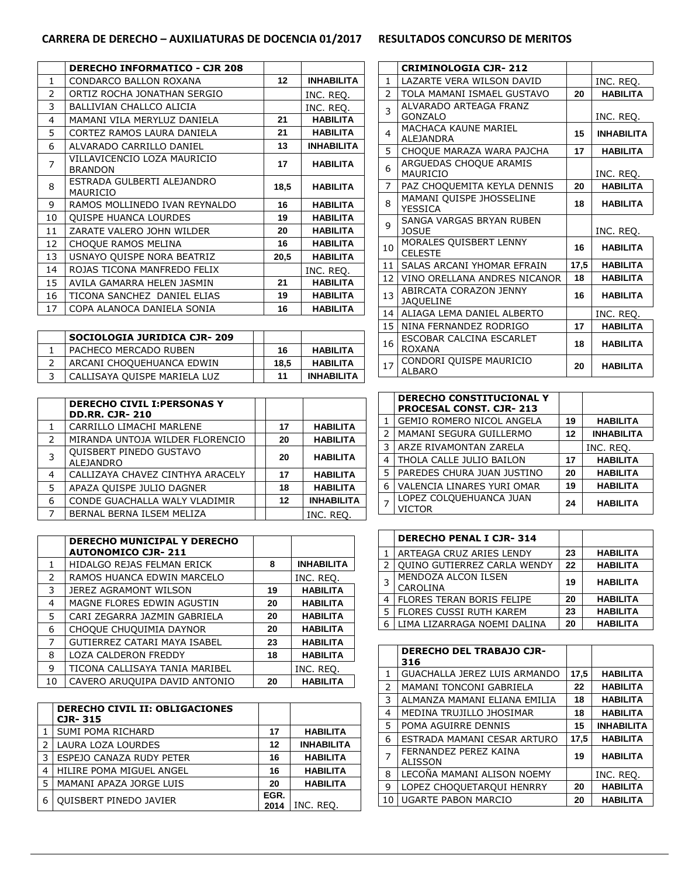### **CARRERA DE DERECHO – AUXILIATURAS DE DOCENCIA 01/2017 RESULTADOS CONCURSO DE MERITOS**

|                | <b>DERECHO INFORMATICO - CJR 208</b>          |      |                   |
|----------------|-----------------------------------------------|------|-------------------|
| $\mathbf{1}$   | CONDARCO BALLON ROXANA                        | 12   | <b>INHABILITA</b> |
| $\mathcal{P}$  | ORTIZ ROCHA JONATHAN SERGIO                   |      | INC. REQ.         |
| 3              | <b>BALLIVIAN CHALLCO ALICIA</b>               |      | INC. REQ.         |
| 4              | MAMANI VILA MERYLUZ DANIELA                   | 21   | <b>HABILITA</b>   |
| 5              | CORTEZ RAMOS LAURA DANIELA                    | 21   | <b>HABILITA</b>   |
| 6              | ALVARADO CARRILLO DANIEL                      | 13   | <b>INHABILITA</b> |
| $\overline{7}$ | VILLAVICENCIO LOZA MAURICIO<br><b>BRANDON</b> | 17   | <b>HABILITA</b>   |
| 8              | ESTRADA GULBERTI ALEJANDRO<br>MAURICIO        | 18,5 | <b>HABILITA</b>   |
| 9              | RAMOS MOLLINEDO IVAN REYNALDO                 | 16   | <b>HABILITA</b>   |
| 10             | <b>OUISPE HUANCA LOURDES</b>                  | 19   | <b>HABILITA</b>   |
| 11             | ZARATE VALERO JOHN WILDER                     | 20   | <b>HABILITA</b>   |
| 12             | CHOQUE RAMOS MELINA                           | 16   | <b>HABILITA</b>   |
| 13             | USNAYO QUISPE NORA BEATRIZ                    | 20,5 | <b>HABILITA</b>   |
| 14             | ROJAS TICONA MANFREDO FELIX                   |      | INC. REQ.         |
| 15             | AVILA GAMARRA HELEN JASMIN                    | 21   | <b>HABILITA</b>   |
| 16             | TICONA SANCHEZ DANIEL ELIAS                   | 19   | <b>HABILITA</b>   |
| 17             | COPA ALANOCA DANIELA SONIA                    | 16   | <b>HABILITA</b>   |

| <b>SOCIOLOGIA JURIDICA CJR-209</b> |      |                   |
|------------------------------------|------|-------------------|
| PACHECO MERCADO RUBEN              | 16   | <b>HABILITA</b>   |
| ARCANI CHOQUEHUANCA EDWIN          | 18.5 | <b>HABILITA</b>   |
| CALLISAYA QUISPE MARIELA LUZ       | 11   | <b>INHABILITA</b> |

|               | <b>DERECHO CIVIL I: PERSONAS Y</b><br><b>DD.RR. CJR-210</b> |    |                   |
|---------------|-------------------------------------------------------------|----|-------------------|
|               | CARRILLO LIMACHI MARLENE                                    | 17 | <b>HABILITA</b>   |
| $\mathcal{P}$ | MIRANDA UNTOJA WILDER FLORENCIO                             | 20 | <b>HABILITA</b>   |
| 3             | <b>QUISBERT PINEDO GUSTAVO</b><br><b>ALEJANDRO</b>          | 20 | <b>HABILITA</b>   |
| 4             | CALLIZAYA CHAVEZ CINTHYA ARACELY                            | 17 | <b>HABILITA</b>   |
| 5             | APAZA QUISPE JULIO DAGNER                                   | 18 | <b>HABILITA</b>   |
| 6             | CONDE GUACHALLA WALY VLADIMIR                               | 12 | <b>INHABILITA</b> |
| 7             | BERNAL BERNA ILSEM MELIZA                                   |    | INC. REO.         |

|               | <b>DERECHO MUNICIPAL Y DERECHO</b><br><b>AUTONOMICO CJR-211</b> |    |                   |
|---------------|-----------------------------------------------------------------|----|-------------------|
| 1             | HIDALGO REJAS FELMAN ERICK                                      | 8  | <b>INHABILITA</b> |
| $\mathcal{P}$ | RAMOS HUANCA EDWIN MARCELO                                      |    | INC. REO.         |
| 3             | <b>JEREZ AGRAMONT WILSON</b>                                    | 19 | <b>HABILITA</b>   |
| 4             | MAGNE FLORES EDWIN AGUSTIN                                      | 20 | <b>HABILITA</b>   |
| 5.            | CARI ZEGARRA JAZMIN GABRIELA                                    | 20 | <b>HABILITA</b>   |
| 6             | CHOQUE CHUQUIMIA DAYNOR                                         | 20 | <b>HABILITA</b>   |
| 7             | <b>GUTIERREZ CATARI MAYA ISABEL</b>                             | 23 | <b>HABILITA</b>   |
| 8             | LOZA CALDERON FREDDY                                            | 18 | <b>HABILITA</b>   |
| 9             | TICONA CALLISAYA TANIA MARIBEL                                  |    | INC. REO.         |
| 10            | CAVERO ARUQUIPA DAVID ANTONIO                                   | 20 | <b>HABILITA</b>   |

|   | <b>DERECHO CIVIL II: OBLIGACIONES</b><br><b>CJR-315</b> |              |                   |
|---|---------------------------------------------------------|--------------|-------------------|
|   | SUMI POMA RICHARD                                       | 17           | <b>HABILITA</b>   |
| っ | LAURA LOZA LOURDES                                      | 12           | <b>INHABILITA</b> |
| 3 | ESPEJO CANAZA RUDY PETER                                | 16           | <b>HABILITA</b>   |
| 4 | HILIRE POMA MIGUEL ANGEL                                | 16           | <b>HABILITA</b>   |
| 5 | MAMANI APAZA JORGE LUIS                                 | 20           | <b>HABILITA</b>   |
| 6 | <b>OUISBERT PINEDO JAVIER</b>                           | EGR.<br>2014 | INC. REO.         |

|                          | <b>CRIMINOLOGIA CJR-212</b>                |      |                   |
|--------------------------|--------------------------------------------|------|-------------------|
| 1                        | LAZARTE VERA WILSON DAVID                  |      | INC. REQ.         |
| $\overline{\phantom{a}}$ | TOLA MAMANI ISMAEL GUSTAVO                 | 20   | <b>HABILITA</b>   |
| 3                        | ALVARADO ARTEAGA FRANZ<br>GONZALO          |      | INC. REQ.         |
| 4                        | MACHACA KAUNE MARIEL<br><b>ALEJANDRA</b>   | 15   | <b>INHABILITA</b> |
| 5                        | CHOQUE MARAZA WARA PAJCHA                  | 17   | <b>HABILITA</b>   |
| 6                        | ARGUEDAS CHOQUE ARAMIS<br>MAURICIO         |      | INC. REQ.         |
| 7                        | PAZ CHOQUEMITA KEYLA DENNIS                | 20   | <b>HABILITA</b>   |
| 8                        | MAMANI QUISPE JHOSSELINE<br>YESSICA        | 18   | <b>HABILITA</b>   |
| 9                        | SANGA VARGAS BRYAN RUBEN<br><b>JOSUE</b>   |      | INC. REQ.         |
| 10                       | MORALES QUISBERT LENNY<br><b>CELESTE</b>   | 16   | <b>HABILITA</b>   |
| 11                       | SALAS ARCANI YHOMAR EFRAIN                 | 17,5 | <b>HABILITA</b>   |
| 12                       | VINO ORELLANA ANDRES NICANOR               | 18   | <b>HABILITA</b>   |
| 13                       | ABIRCATA CORAZON JENNY<br><b>JAQUELINE</b> | 16   | <b>HABILITA</b>   |
| 14 <sub>1</sub>          | ALIAGA LEMA DANIEL ALBERTO                 |      | INC. REQ.         |
| 15                       | NINA FERNANDEZ RODRIGO                     | 17   | <b>HABILITA</b>   |
| 16                       | ESCOBAR CALCINA ESCARLET<br><b>ROXANA</b>  | 18   | <b>HABILITA</b>   |
| 17                       | CONDORI QUISPE MAURICIO<br><b>ALBARO</b>   | 20   | <b>HABILITA</b>   |

|               | <b>DERECHO CONSTITUCIONAL Y</b><br><b>PROCESAL CONST. CJR-213</b> |    |                   |
|---------------|-------------------------------------------------------------------|----|-------------------|
|               | GEMIO ROMERO NICOL ANGELA                                         | 19 | <b>HABILITA</b>   |
| $\mathcal{P}$ | MAMANI SEGURA GUILLERMO                                           | 12 | <b>INHABILITA</b> |
| 3             | ARZE RIVAMONTAN ZARELA                                            |    | INC. REO.         |
| 4             | THOLA CALLE JULIO BAILON                                          | 17 | <b>HABILITA</b>   |
| 5             | PAREDES CHURA JUAN JUSTINO                                        | 20 | <b>HABILITA</b>   |
| 6             | VALENCIA LINARES YURI OMAR                                        | 19 | <b>HABILITA</b>   |
|               | LOPEZ COLQUEHUANCA JUAN<br>VICTOR                                 | 24 | <b>HABILITA</b>   |

|   | <b>DERECHO PENAL I CJR-314</b>     |    |                 |
|---|------------------------------------|----|-----------------|
|   | ARTEAGA CRUZ ARIES LENDY           | 23 | <b>HABILITA</b> |
| 2 | <b>QUINO GUTIERREZ CARLA WENDY</b> | 22 | <b>HABILITA</b> |
|   | MENDOZA ALCON ILSEN<br>CAROLINA    | 19 | <b>HABILITA</b> |
| 4 | FLORES TERAN BORIS FELIPE          | 20 | <b>HABILITA</b> |
| 5 | <b>FLORES CUSSI RUTH KAREM</b>     | 23 | <b>HABILITA</b> |
| 6 | LIMA LIZARRAGA NOEMI DALINA        | 20 | <b>HABILITA</b> |

|               | <b>DERECHO DEL TRABAJO CJR-</b><br>316  |      |                   |
|---------------|-----------------------------------------|------|-------------------|
| 1             | GUACHALLA JEREZ LUIS ARMANDO            | 17,5 | <b>HABILITA</b>   |
| $\mathcal{P}$ | <b>MAMANI TONCONI GABRIELA</b>          | 22   | <b>HABILITA</b>   |
| 3             | ALMANZA MAMANI ELIANA EMILIA            | 18   | <b>HABILITA</b>   |
| 4             | MEDINA TRUJILLO JHOSIMAR                | 18   | <b>HABILITA</b>   |
| 5.            | POMA AGUIRRE DENNIS                     | 15   | <b>INHABILITA</b> |
| 6             | ESTRADA MAMANI CESAR ARTURO             | 17,5 | <b>HABILITA</b>   |
| 7             | FERNANDEZ PEREZ KAINA<br><b>ALISSON</b> | 19   | <b>HABILITA</b>   |
| 8             | LECOÑA MAMANI ALISON NOEMY              |      | INC. REO.         |
| 9             | LOPEZ CHOQUETARQUI HENRRY               | 20   | <b>HABILITA</b>   |
| 10            | <b>UGARTE PABON MARCIO</b>              | 20   | <b>HABILITA</b>   |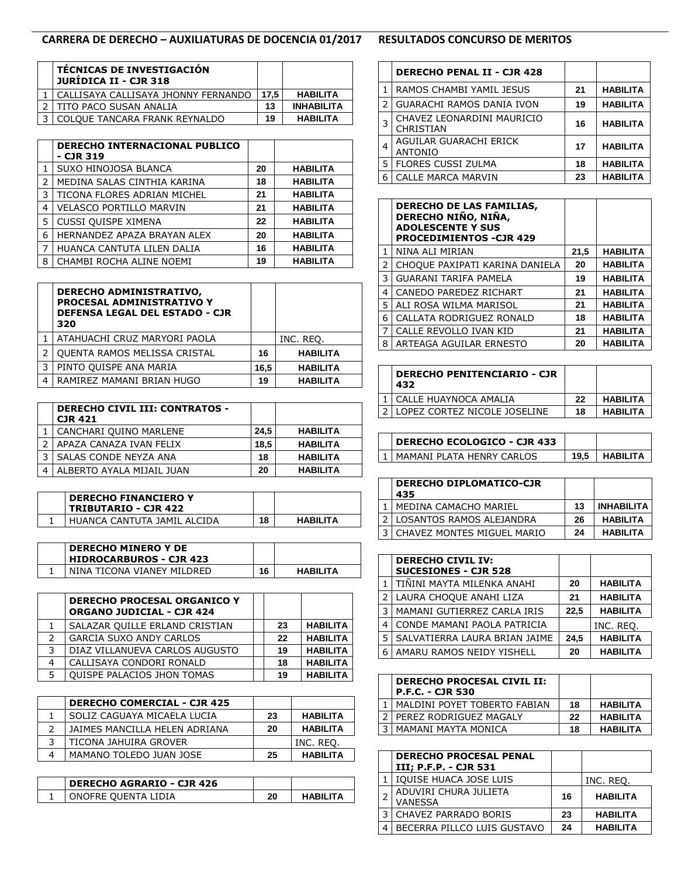## **CARRERA DE DERECHO – AUXILIATURAS DE DOCENCIA 01/2017 RESULTADOS CONCURSO DE MERITOS**

| <b>TÉCNICAS DE INVESTIGACIÓN</b><br>JURÍDICA II - CJR 318 |      |                   |
|-----------------------------------------------------------|------|-------------------|
| CALLISAYA CALLISAYA JHONNY FERNANDO                       | 17.5 | <b>HABILITA</b>   |
| TITO PACO SUSAN ANALIA                                    | 13   | <b>INHABILITA</b> |
| COLOUE TANCARA FRANK REYNALDO                             | 19   | <b>HABILITA</b>   |

|   | DERECHO INTERNACIONAL PUBLICO<br>- CJR 319 |    |                 |
|---|--------------------------------------------|----|-----------------|
|   | SUXO HINOJOSA BLANCA                       | 20 | <b>HABILITA</b> |
| フ | MEDINA SALAS CINTHIA KARINA                | 18 | <b>HABILITA</b> |
| 3 | TICONA FLORES ADRIAN MICHEL                | 21 | <b>HABILITA</b> |
| 4 | <b>VELASCO PORTILLO MARVIN</b>             | 21 | <b>HABILITA</b> |
| 5 | CUSSI QUISPE XIMENA                        | 22 | <b>HABILITA</b> |
| 6 | HERNANDEZ APAZA BRAYAN ALEX                | 20 | <b>HABILITA</b> |
| 7 | HUANCA CANTUTA LILEN DALIA                 | 16 | <b>HABILITA</b> |
| 8 | CHAMBI ROCHA ALINE NOEMI                   | 19 | <b>HABILITA</b> |

|   | <b>DERECHO ADMINISTRATIVO,</b><br>PROCESAL ADMINISTRATIVO Y<br><b>DEFENSA LEGAL DEL ESTADO - CJR</b><br>320 |      |                 |
|---|-------------------------------------------------------------------------------------------------------------|------|-----------------|
|   | ATAHUACHI CRUZ MARYORI PAOLA                                                                                |      | INC. REO.       |
|   | <b>OUENTA RAMOS MELISSA CRISTAL</b>                                                                         | 16   | <b>HABILITA</b> |
| 3 | PINTO QUISPE ANA MARIA                                                                                      | 16,5 | <b>HABILITA</b> |
| 4 | RAMIREZ MAMANI BRIAN HUGO                                                                                   | 19   | <b>HABILITA</b> |

| <b>DERECHO CIVIL III: CONTRATOS -</b><br><b>CJR 421</b> |      |                 |
|---------------------------------------------------------|------|-----------------|
| CANCHARI QUINO MARLENE                                  | 24.5 | <b>HABILITA</b> |
| APAZA CANAZA IVAN FELIX                                 | 18.5 | <b>HABILITA</b> |
| SALAS CONDE NEYZA ANA                                   | 18   | <b>HABILITA</b> |
| ALBERTO AYALA MIJAIL JUAN                               | 20   | <b>HABILITA</b> |

| <b>DERECHO FINANCIERO Y</b><br><b>TRIBUTARIO - CJR 422</b> |    |                 |
|------------------------------------------------------------|----|-----------------|
| HUANCA CANTUTA JAMIL ALCIDA                                | 18 | <b>HABILITA</b> |

| <b>DERECHO MINERO Y DE</b><br><b>HIDROCARBUROS - CJR 423</b> |    |                  |
|--------------------------------------------------------------|----|------------------|
| NINA TICONA VIANEY MILDRED                                   | 16 | <b>HARII ITA</b> |

|   | <b>DERECHO PROCESAL ORGANICO Y</b><br><b>ORGANO JUDICIAL - CJR 424</b> |    |                 |
|---|------------------------------------------------------------------------|----|-----------------|
|   | SALAZAR QUILLE ERLAND CRISTIAN                                         | 23 | <b>HABILITA</b> |
| フ | <b>GARCIA SUXO ANDY CARLOS</b>                                         | 22 | <b>HABILITA</b> |
| 3 | DIAZ VILLANUEVA CARLOS AUGUSTO                                         | 19 | <b>HABILITA</b> |
|   | CALLISAYA CONDORI RONALD                                               | 18 | <b>HABILITA</b> |
|   | <b>QUISPE PALACIOS JHON TOMAS</b>                                      | 19 | <b>HABILITA</b> |

| <b>DERECHO COMERCIAL - CJR 425</b> |    |                 |
|------------------------------------|----|-----------------|
| SOLIZ CAGUAYA MICAELA LUCIA        | 23 | <b>HABILITA</b> |
| JAIMES MANCILLA HELEN ADRIANA      | 20 | <b>HABILITA</b> |
| TICONA JAHUIRA GROVER              |    | INC. REQ.       |
| MAMANO TOLEDO JUAN JOSE            | 25 | <b>HABILITA</b> |

| <b>DERECHO AGRARIO - CJR 426</b> |    |                  |
|----------------------------------|----|------------------|
| ONOFRE OUENTA LIDIA              | 20 | <b>HARII ITA</b> |

|   | <b>DERECHO PENAL II - CJR 428</b>        |    |                 |
|---|------------------------------------------|----|-----------------|
| 1 | RAMOS CHAMBI YAMIL JESUS                 | 21 | <b>HABILITA</b> |
| 2 | <b>GUARACHI RAMOS DANIA IVON</b>         | 19 | <b>HABILITA</b> |
| 3 | CHAVEZ LEONARDINI MAURICIO<br>CHRISTIAN  | 16 | <b>HABILITA</b> |
| 4 | AGUILAR GUARACHI ERICK<br><b>ANTONIO</b> | 17 | <b>HABILITA</b> |
| 5 | <b>FLORES CUSSI ZULMA</b>                | 18 | <b>HABILITA</b> |
| 6 | <b>CALLE MARCA MARVIN</b>                | 23 | <b>HABILITA</b> |

|   | <b>DERECHO DE LAS FAMILIAS,</b><br>DERECHO NIÑO, NIÑA,<br><b>ADOLESCENTE Y SUS</b><br><b>PROCEDIMIENTOS - CJR 429</b> |      |                 |
|---|-----------------------------------------------------------------------------------------------------------------------|------|-----------------|
| 1 | NINA ALI MIRIAN                                                                                                       | 21,5 | <b>HABILITA</b> |
| 2 | CHOQUE PAXIPATI KARINA DANIELA                                                                                        | 20   | <b>HABILITA</b> |
| 3 | GUARANI TARIFA PAMELA                                                                                                 | 19   | <b>HABILITA</b> |
| 4 | CANEDO PAREDEZ RICHART                                                                                                | 21   | <b>HABILITA</b> |
| 5 | ALI ROSA WILMA MARISOL                                                                                                | 21   | <b>HABILITA</b> |
| 6 | CALLATA RODRIGUEZ RONALD                                                                                              | 18   | <b>HABILITA</b> |
| 7 | CALLE REVOLLO IVAN KID                                                                                                | 21   | <b>HABILITA</b> |
| 8 | ARTEAGA AGUILAR ERNESTO                                                                                               | 20   | <b>HABILITA</b> |

| <b>DERECHO PENITENCIARIO - CJR</b><br>432 |    |                 |
|-------------------------------------------|----|-----------------|
| CALLE HUAYNOCA AMALIA                     | 22 | <b>HABILITA</b> |
| LOPEZ CORTEZ NICOLE JOSELINE              | 18 | <b>HABILITA</b> |

| <b>DERECHO ECOLOGICO - CJR 433</b> |      |           |
|------------------------------------|------|-----------|
| I MAMANI PI ATA HENRY CARLOS       | 19.5 | HARII ITA |

| <b>DERECHO DIPLOMATICO-CJR</b><br>435 |    |                   |
|---------------------------------------|----|-------------------|
| MEDINA CAMACHO MARIEL                 | 13 | <b>INHABILITA</b> |
| LOSANTOS RAMOS ALEJANDRA              | 26 | <b>HABILITA</b>   |
| CHAVEZ MONTES MIGUEL MARIO            | 24 | <b>HABILITA</b>   |

|   | <b>DERECHO CIVIL IV:</b><br><b>SUCESIONES - CJR 528</b> |      |                 |
|---|---------------------------------------------------------|------|-----------------|
|   | İ TIÑINI MAYTA MILENKA ANAHI                            | 20   | <b>HABILITA</b> |
|   | LAURA CHOQUE ANAHI LIZA                                 | 21   | <b>HABILITA</b> |
| 3 | MAMANI GUTIERREZ CARLA IRIS                             | 22,5 | <b>HABILITA</b> |
| 4 | CONDE MAMANI PAOLA PATRICIA                             |      | INC. REQ.       |
| 5 | SALVATIERRA LAURA BRIAN JAIME                           | 24.5 | <b>HABILITA</b> |
| 6 | AMARU RAMOS NEIDY YISHELL                               | 20   | <b>HABILITA</b> |

| <b>DERECHO PROCESAL CIVIL II:</b><br><b>P.F.C. - CJR 530</b> |    |                 |
|--------------------------------------------------------------|----|-----------------|
| MALDINI POYET TOBERTO FABIAN                                 | 18 | <b>HABILITA</b> |
| PEREZ RODRIGUEZ MAGALY                                       | 22 | <b>HABILITA</b> |
| MAMANI MAYTA MONICA                                          | 18 | <b>HABILITA</b> |

| <b>DERECHO PROCESAL PENAL</b><br>III; P.F.P. - CJR 531 |    |                 |
|--------------------------------------------------------|----|-----------------|
| IQUISE HUACA JOSE LUIS                                 |    | INC. REO.       |
| ADUVIRI CHURA JULIETA<br><b>VANESSA</b>                | 16 | <b>HABILITA</b> |
| CHAVEZ PARRADO BORIS                                   | 23 | <b>HABILITA</b> |
| BECERRA PILLCO LUIS GUSTAVO                            | 24 | <b>HABILITA</b> |